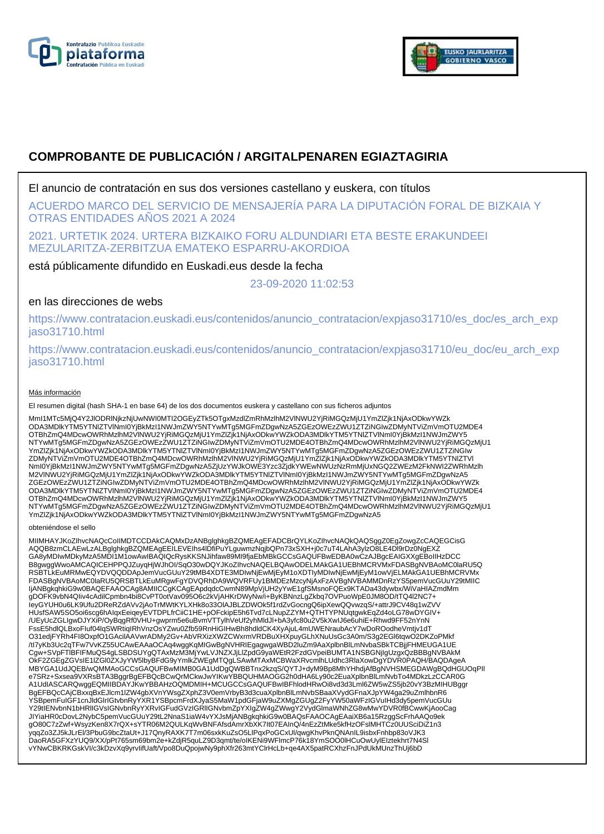



# **COMPROBANTE DE PUBLICACIÓN / ARGITALPENAREN EGIAZTAGIRIA**

El anuncio de contratación en sus dos versiones castellano y euskera, con títulos

ACUERDO MARCO DEL SERVICIO DE MENSAJERÍA PARA LA DIPUTACIÓN FORAL DE BIZKAIA Y OTRAS ENTIDADES AÑOS 2021 A 2024

2021. URTETIK 2024. URTERA BIZKAIKO FORU ALDUNDIARI ETA BESTE ERAKUNDEEI MEZULARITZA-ZERBITZUA EMATEKO ESPARRU-AKORDIOA

está públicamente difundido en Euskadi.eus desde la fecha

23-09-2020 11:02:53

# en las direcciones de webs

https://www.contratacion.euskadi.eus/contenidos/anuncio\_contratacion/expjaso31710/es\_doc/es\_arch\_exp jaso31710.html

https://www.contratacion.euskadi.eus/contenidos/anuncio\_contratacion/expjaso31710/eu\_doc/eu\_arch\_exp jaso31710.html

### Más información

El resumen digital (hash SHA-1 en base 64) de los dos documentos euskera y castellano con sus ficheros adjuntos

MmI1MTc5MjQ4Y2JlODRlNjkzNjUwNWI0MTI2OGEyZTk5OTgxMzdlZmRhMzlhM2VlNWU2YjRiMGQzMjU1YmZlZjk1NjAxODkwYWZk ODA3MDlkYTM5YTNlZTVlNmI0YjBkMzI1NWJmZWY5NTYwMTg5MGFmZDgwNzA5ZGEzOWEzZWU1ZTZiNGIwZDMyNTViZmVmOTU2MDE4 OTBhZmQ4MDcwOWRhMzlhM2VlNWU2YjRiMGQzMjU1YmZlZjk1NjAxODkwYWZkODA3MDlkYTM5YTNlZTVlNml0YjBkMzI1NWJmZWY5<br>NTYwMTg5MGFmZDgwNzA5ZGEzOWEzZWU1ZTZiNGIwZDMyNTViZmVmOTU2MDE4OTBhZmQ4MDcwOWRhMzlhM2VlNWU2YjRiMGQzMjU1 YmZlZjk1NjAxODkwYWZkODA3MDlkYTM5YTNIZTVlNmI0YjBkMzI1NWJmZWY5NTYwMTg5MGFmZDgwNzA5ZGEzOWEzZWU1ZTZiNGIw<br>ZDMyNTViZmVmOTU2MDE4OTBhZmQ4MDcwOWRhMzlhM2VlNWU2YjRiMGQzMjU1YmZlZjk1NjAxODkwYWZkODA3MDlkYTM5YTNIZTVI NmI0YjBkMzI1NWJmZWY5NTYwMTg5MGFmZDgwNzA5ZjUzYWJkOWE3Yzc3ZjdkYWEwNWUzNzRmMjUxNGQ2ZWEzM2FkNWI2ZWRhMzlh M2VlNWU2YjRiMGQzMjU1YmZlZjk1NjAxODkwYWZkODA3MDlkYTM5YTNlZTVlNmI0YjBkMzI1NWJmZWY5NTYwMTg5MGFmZDgwNzA5 ZGEzOWEzZWU1ZTZiNGIwZDMyNTViZmVmOTU2MDE4OTBhZmQ4MDcwOWRhMzlhM2VlNWU2YjRiMGQzMjU1YmZlZjk1NjAxODkwYWZk ODA3MDlkYTM5YTNlZTVlNmI0YjBkMzI1NWJmZWY5NTYwMTg5MGFmZDgwNzA5ZGEzOWEzZWU1ZTZiNGIwZDMyNTViZmVmOTU2MDE4 OTBhZmQ4MDcwOWRhMzlhM2VlNWU2YjRiMGQzMjU1YmZlZjk1NjAxODkwYWZkODA3MDlkYTM5YTNlZTVlNml0YjBkMzI1NWJmZWY5<br>NTYwMTg5MGFmZDgwNzA5ZGEzOWEzZWU1ZTZiNGIwZDMyNTViZmVmOTU2MDE4OTBhZmQ4MDcwOWRhMzlhM2VlNWU2YjRiMGQzMjU1 YmZlZjk1NjAxODkwYWZkODA3MDlkYTM5YTNlZTVlNmI0YjBkMzI1NWJmZWY5NTYwMTg5MGFmZDgwNzA5

#### obteniéndose el sello

MIIMHAYJKoZIhvcNAQcCoIIMDTCCDAkCAQMxDzANBglghkgBZQMEAgEFADCBrQYLKoZIhvcNAQkQAQSggZ0EgZowgZcCAQEGCisG<br>AQQB8zmCLAEwLzALBglghkgBZQMEAgEEILEVEIhs4IDfiPuYLguwmzNqjbQPn73xSXH+j0c7uT4LAhA3ylzO8LE4Dl9rDz0NgEXZ GA8yMDIwMDkyMzA5MDI1M1owAwIBAQIQcRysKKSNJihfaw89MI9fjaEbMBkGCCsGAQUFBwEDBA0wCzAJBgcEAIGXXgEBoIIHzDCC B8gwggWwoAMCAQICEHPPQJZuyqHjWJhOI/SqO30wDQYJKoZIhvcNAQELBQAwODELMAkGA1UEBhMCRVMxFDASBgNVBAoMC0laRU5Q RSBTLkEuMRMwEQYDVQQDDApJemVucGUuY29tMB4XDTE3MDIwNjEwMjEyM1oXDTIyMDIwNjEwMjEyM1owVjELMAkGA1UEBhMCRVMx FDASBgNVBAoMC0laRU5QRSBTLkEuMRgwFgYDVQRhDA9WQVRFUy1BMDEzMzcyNjAxFzAVBgNVBAMMDnRzYS5pemVucGUuY29tMIIC ljANBgkqhkiG9w0BAQEFAAOCAg8AMIICCgKCAgEApdqdcCwmN89MpVjUH2yYwE1gfSMsnoFQEx9KTADa43dywbx/WiVaHIAZmdMm<br>gDOFK9vbN4Qliv4cAdilCpmbn4bi8CvPT0otVav095O6c2kVjAHKrDWyNw/i+ByKBNnzLgZkbq7OVPuoWpE0JM8OD/tTQ4l2NC7+ leyGYUH0u6LK9Ufu2DReRZdAVv2jAoTrMWtKYLXHk8o33OlAJBLZDWOk5f1rdZvGocngQ6ipXewQQvwzqS/+attrJ9CV48q1wZVV<br>HUsfSAW5SO5oi6scg6hAIqxEeiqeyEVTDPLfrCiiC1HE+pOFckipE5h6Tvd7cLNupZZYM+QTHTYPNUqtgwkEqZd4oLG78wDYGIV+ /UEyUcZGLIgwDJYXiP/OyBqgRf0VHU+gwprm5e6uBvmVTTylhVeUf2yhMldJl+bA3yfc80u2V5kXwIJ6e6uhiE+Rhwd9FF52nYnN FssE5hdlQLBxoFIuf04lqSWRtiqIRhVnzOsYZwu0Zfb59RnHiGIHwBh8hdldCK4XyAjuL4mUWENraubAcY7wDoROodheVmtjv1dT O31edjFYRh4FI8OxpfO1GAcilAAVwrADMy2Gv+AbVRXizXWZCWxrmVRDBuXHXpuyGLhXNuUsGc3A0m/S3g2EGl6tqwO2DKZoPMkf /tI7yKb3Uc2qTFw7VvKZ55UCAwEAAaOCAq4wggKqMIGwBgNVHRIEgagwgaWBD2luZm9AaXplbnBlLmNvbaSBkTCBjjFHMEUGA1UE Cgw+SVpFTlBFIFMuQS4gLSBDSUYgQTAxMzM3MjYwLVJNZXJjLlZpdG9yaWEtR2FzdGVpeiBUMTA1NSBGNjIgUzgxQzBBBgNVBAkM OkF2ZGEgZGVsIE1IZGI0ZXJyYW5lbyBFdG9yYmlkZWEgMTQgLSAwMTAxMCBWaXRvcmlhLUdhc3RlaXowDgYDVR0PAQH/BAQDAgeA<br>MBYGA1UdJQEB/wQMMAoGCCsGAQUFBwMIMB0GA1UdDgQWBBTnx2kzqS/QYTJ+dyM9Bp8MhYHhdjAfBgNVHSMEGDAWgBQdHGUOqPII<br>e7SRz+Sxsea9VXRsBTA3 A1UdIASCARQwggEQMIIBDAYJKwYBBAHzOQMDMIH+MCUGCCsGAQUFBwIBFhlodHRwOi8vd3d3Lml6ZW5wZS5jb20vY3BzMIHUBggr BgEFBQcCAjCBxxqBxEJlcm1lZW4gbXVnYWsgZXphZ3V0emVrbyB3d3cuaXplbnBlLmNvbSBaaXVydGFnaXJpYW4ga29uZmlhbnR6 YSBpemFuIGF1cnJldGlrIGtvbnRyYXR1YSBpcmFrdXJyaS5MaW1pdGFjaW9uZXMgZGUgZ2FyYW50aWFzIGVuIHd3dy5pemVucGUu Y29tIENvbnN1bHRlIGVsIGNvbnRyYXRvIGFudGVzIGRlIGNvbmZpYXIgZW4gZWwgY2VydGlmaWNhZG8wMwYDVR0fBCwwKjAooCag JIYiaHR0cDovL2NybC5pemVucGUuY29tL2NnaS1iaW4vYXJsMjANBgkqhkiG9w0BAQsFAAOCAgEAaiXB6a15RzggScFrhAAQo9ek gO80C7zZwf+WsyzKen8X7rQX+sYTR06M2QULKqWvBNFAfsdAmrXbXK7It07EAInQ/4nEzZtMke5kfHzOFslMHTCz0UUSciDiZ1n3 yqqZo3ZJ5kJLrEl/3PbuG9bcZtaUt+J17QnyRAXK7T7m06sxkKuZsO5LlPqxPoGCxUl/qwgKhvPknQNAnIL9isbxFnhbp83oVJK3<br>DaoRA5GFXzYUQ9/XX/pPt765sm69bm2e+kZdjR5quLZ9D3qmt/te/oIKENi9WFlmcP76k18YmSOO0lHCuOwUylEIztekhrt7N4Sl vYNwCBKRKGskVI/c3kDzvXq9yrvIifUaft/Vpo8DuQpojwNy9phXfr263mtYClrHcLb+qe4AX5patRCXhzFnJPdUkMUnzThUj6bD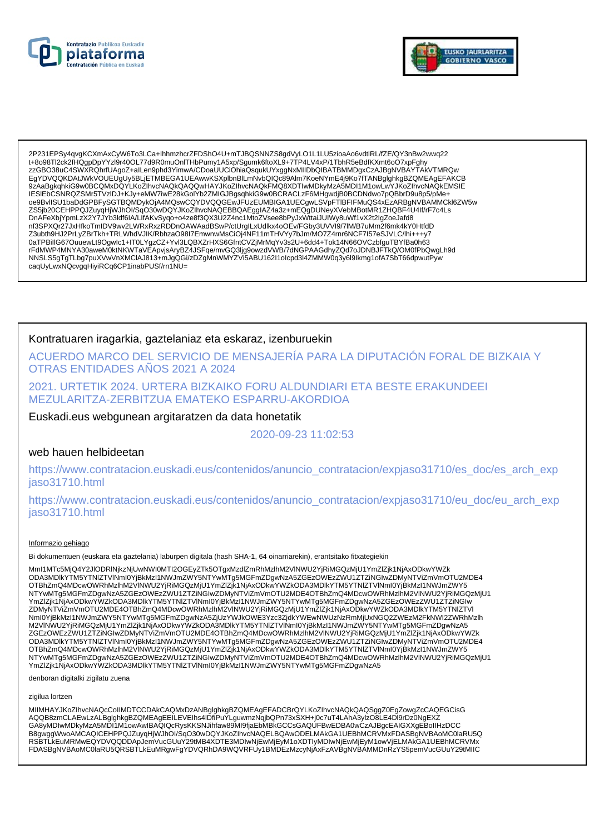



2P231EPSy4qvgKCXmAxCyW6To3LCa+lhhmzhcrZFDShO4U+mTJBQSNNZS8gdVyLO1L1LU5zioaAo6vdtlRL/fZE/QY3nBw2wwq22 t+8o98Tl2ck2fHQqpDpYYzl9r40OL77d9R0muOnITHbPumy1A5xp/Squmk6ftoXL9+7TP4LV4xP/1TbhR5eBdfKXmt6oO7xpFqhy 9ZAaBgkqhkiG9w0BCQMxDQYLKoZlhvcNAQkQAQQwHAYJKoZlhvcNAQkFMQ8XDTIwMDkyMzA5MDI1M1owLwYJKoZlhvcNAQkEMSIE IESIEDCSNRQZSMr5TVzIDJ+KJy+eMW7iwE28kGolYb2ZMIGJBgsqhkiG9w0BCRACLzF6MHgwdjB0BCDNdwo7pQBbrD9u8p5/pMeoe9BvllSU1baDdGPBFySGTBQMDykOjA4MQswCQYDVQQGEwJFUzEUMBIGA1UECgwLSVpFTIBFIFMuQS4xEzARBgNVBAMMCkl6ZW5w ZS5jb20CEHPPQJZuyqHjWJhOI/SqO30wDQYJKoZIhvcNAQEBBQAEggIAZ4a3z+mEQgDUNeyXVebMBotMR1ZHQBF4U4If/rF7c4Ls ر : "Coolstand of the Sandy Private Distance Internal Account Coolstand State Internal Condensation of the Sandy<br>DhAFeXbjYpmLzX2Y7JYb3ldf6IA/LIfAKvSyqo+o4ze8f3QX3U2Z4nc1MtoZVsee8bPyJxWttaiJUIWy8uWf1vX2t2IgZoeJafd8<br>hf3SPXQ Z3ubth9HJ2PrLyZBrTkh+TRLWhdVJIK/RbhzaO98I7EmwnwMsCiOj4NF11mTHVYy7bJm/MO7Z4rnr6NCF7I57eSJVLC/lhi+++y7 0aTPBillG67OuuewLt9Ogwlc1+IT0LYgzCZ+Yvl3LQBXZrHXS6GfntCVZjMrMqYv3s2U+6dd4+Tok14N66OVCzbfguTBYfBa0h63 rFdMWP4MNYA30aweM0ktNKWTaVEApvjsAryBZ4JSFqe/mvGQ3ljg9owzdVWB/7dNGPAAGdhyZQd7oJDNBJFTkQ/OM0fPbQwgLh9d NNSLS5gTgTLbg7puXVwVnXMCIAJ813+mJgQGi/zDZgMnWMYZVi5ABU162l1olcpd3l4ZMMW0q3y6l9lkmg1ofA7SbT66dpwutPyw caqUyLwxNQcvgqHiyiRCq6CP1inabPUSf/rn1NU=

### Kontratuaren iragarkia, gaztelaniaz eta eskaraz, izenburuekin

ACUERDO MARCO DEL SERVICIO DE MENSAJERÍA PARA LA DIPUTACIÓN FORAL DE BIZKAIA Y OTRAS ENTIDADES AÑOS 2021 A 2024

2021. URTETIK 2024. URTERA BIZKAIKO FORU ALDUNDIARI ETA BESTE ERAKUNDEEI MEZULARITZA-ZERBITZUA EMATEKO ESPARRU-AKORDIOA

Euskadi.eus webgunean argitaratzen da data honetatik

2020-09-23 11:02:53

# web hauen helbideetan

https://www.contratacion.euskadi.eus/contenidos/anuncio\_contratacion/expjaso31710/es\_doc/es\_arch\_exp iaso31710.html

https://www.contratacion.euskadi.eus/contenidos/anuncio contratacion/expjaso31710/eu doc/eu arch exp jaso31710.html

#### Informazio gehiago

Bi dokumentuen (euskara eta gaztelania) laburpen digitala (hash SHA-1, 64 oinarriarekin), erantsitako fitxategiekin

Mml1MTc5MjQ4Y2JIODRINjkzNjUwNWI0MTI2OGEyZTk5OTgxMzdlZmRhMzlhM2VINWU2YjRiMGQzMjU1YmZlZjk1NjAxODkwYWZk ODA3MDlkYTM5YTNIZTVINml0YjBkMzI1NWJmZWY5NTYwMTg5MGFmZDgwNzA5ZGEzOWEzZWU1ZTZiNGlwZDMyNTViZmVmOTU2MDE4 OTBhZmQ4MDcwOWRhMzIhM2VINWU2YjRiMGQzMjU1YmZIZjk1NjAxODkwYWZkODA3MDlkYTM5YTNIZTVINmI0YjBkMzI1NWJmZWY5<br>NTYwMTg5MGFmZDgwNzA5ZGEzOWEzZWU1ZTZiNGIwZDMyNTViZmVmOTU2MDE4OTBhZmQ4MDcwOWRhMzIhM2VINWU2YjRiMGQzMjU1 ivi i www.politics.com/www.politics/www.politics/www.politics/www.politics/www.politics/www.politics/www.politi<br>ZDMyNTViZmVmOTU2MDE4OTBhZmQ4MDcwOWRhMzIhM2VINWU2YjRiMGQzMjU1YmZlZjk1NjAxODkwYWZkODA3MDlkYTM5YTNIZTVI Nml0YjBkMzI1NWJmZWY5NTYwMTg5MGFmZDgwNzA5ZjUzYWJkOWE3Yzc3ZjdKYWEwNWUzNzRmMjUxNGQ2ZWEzM2FkNWI2ZWRhMzlh M2VINWU2YjRiMGQzMjU1YmZlZjk1NjAxODkwYWZkODA3MDlkYTM5YTNlZTVINmI0YjBkMzI1NWJmZWY5NTYwMTg5MGFmZDgwNzA5 ZGEzOWEzZWU1ZTZiŃGIwZDMyNTViZmVmOTU2MDE4OTBhZmQ4MDcwOWRhMzIńM2VINWU2YjRiMGQzMjU1YmZlZjk1NjAxODkwYWZk ODA3MDIkYTM5YTNIZTVINmI0YjBkMzI1NWJmZWY5NTYwMTg5MGFmZDgwNzA5ZGEzOWEzZWU1ZTZiNGIwZDMyNTViZmVmOTU2MDE4 OTBhZmQ4MDcwOWRhMzIhM2VINWU2YjRiMGQzMjU1YmZlZjk1NjAxODkwYWZkODA3MDlkYTM5YTNlZTVINml0YjBkMzI1NWJmZWY5<br>NTYwMTg5MGFmZDgwNzA5ZGEzOWEzZWU1ZTZiNGIwZDMyNTViZmVmOTU2MDE4OTBhZmQ4MDcwOWRhMzIhM2VINWU2YjRiMGQzMjU1 YmZlZjk1NjAxODkwYWZkODA3MDlkYTM5YTNlZTVlNml0YjBkMzl1NWJmZWY5NTYwMTg5MGFmZDgwNzA5

denboran digitalki zigilatu zuena

#### zigilua lortzen

MIIMHAYJKoZIhvcNAQcCoIIMDTCCDAkCAQMxDzANBglghkgBZQMEAgEFADCBrQYLKoZIhvcNAQkQAQSggZ0EgZowgZcCAQEGCisG AQQB8zmCLAEwLzALBglghkgBZQMEAgEEILEVEIhs4IDfiPuYLguwmzNqjbQPn73xSXH+j0c7uT4LAhA3ylzO8LE4Dl9rDz0NgEXZ GA8yMDIwMDkyMzA5MDI1M1owAwIBAQIQcRysKKSNJihfaw89MI9fjaEbMBkGCCsGAQUFBwEDBA0wCzAJBgcEAIGXXgEBoIIHzDCC B8gwggWwoAMCAQICEHPPQJZuyqHjWJhOI/SqO30wDQYJKoZIhvcNAQELBQAwODELMAkGA1UEBhMCRVMxFDASBgNVBAoMC0laRU5Q RSBTLKEuMRMwEQYDVQQDDApJemVucGUuY29tMB4XDTE3MDIwNjEwMjEyM1oXDTIyMDIwNjEwMjEyM1owVjELMAkGA1UEBhMCRVMx FDASBgNVBAoMC0laRU5QRSBTLkEuMRgwFgYDVQRhDA9WQVRFUy1BMDEzMzcyNjAxFzAVBgNVBAMMDnRzYS5pemVucGUuY29tMIIC